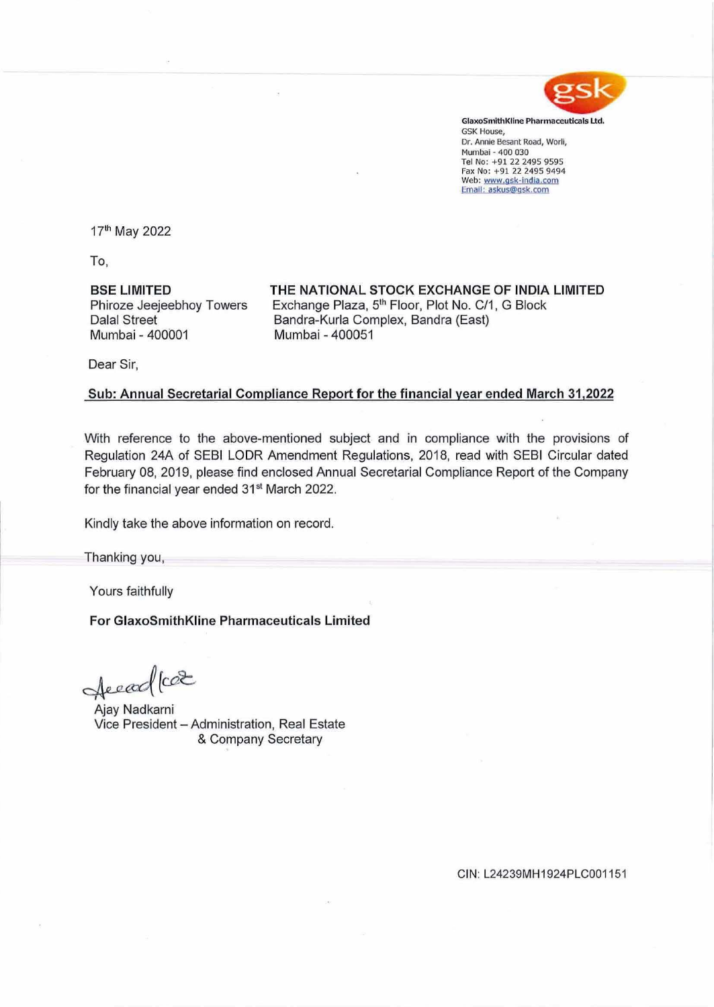

GlaxoSmithKline Pharmaceuticals **Ud.**  GSK House, Dr. Annie Besant Road, Worli, Mumbai - 400 030 Tel No: +91 22 2495 9595 Fax No: +91 22 2495 9494 Web: www.gsk-india com Emal!: **askus@ask.com** 

17th May 2022

To,

**BSE LIMITED**  Phiroze Jeejeebhoy Towers Dalal Street Mumbai - 400001 Mumbai - 400051

**THE NATIONAL STOCK EXCHANGE OF INDIA LIMITED**  Exchange Plaza, 5<sup>th</sup> Floor, Plot No. C/1, G Block Bandra-Kurla Complex, Sandra (East)

Dear Sir,

## **Sub: Annual Secretarial Compliance Report for the financial year ended March 31,2022**

With reference to the above-mentioned subject and in compliance with the provisions of Regulation 24A of SEBI LODR Amendment Regulations, 2018, read with SEBI Circular dated February 08, 2019, please find enclosed Annual Secretarial Compliance Report of the Company for the financial year ended 31<sup>st</sup> March 2022.

Kindly take the above information on record.

Thanking you,

Yours faithfully

**For GlaxoSmithKline Pharmaceuticals Limited** 

feead (co2

Ajay Nadkarni Vice President - Administration, Real Estate & Company Secretary

CIN: L24239MH1924PLC001151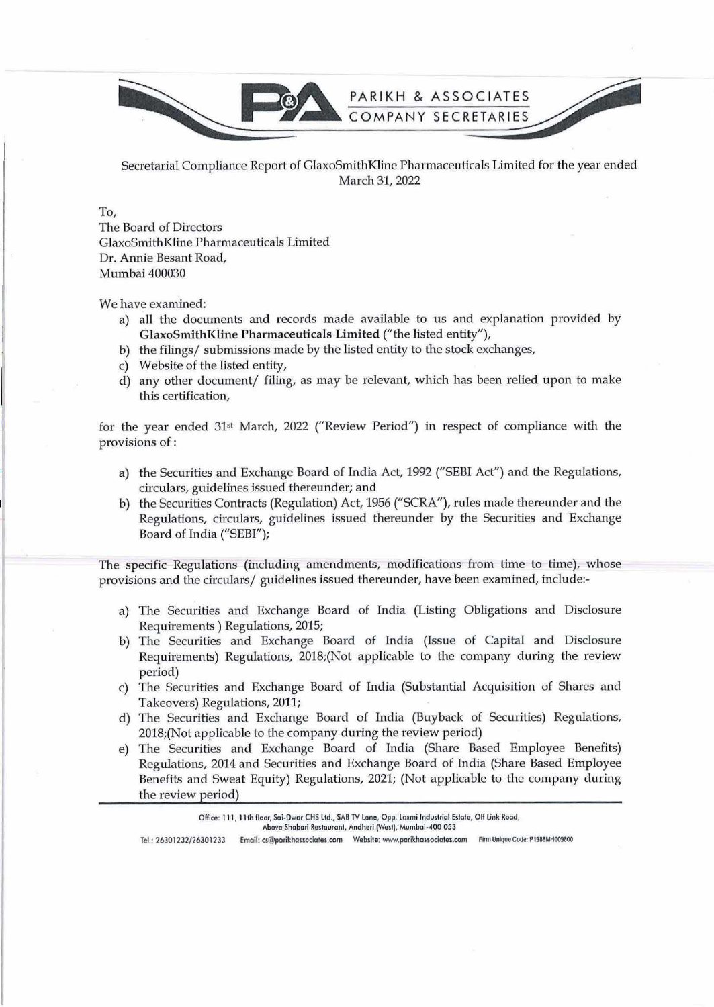

Secretarial Compliance Report of GlaxoSmithKline Pharmaceuticals Limited for the year ended March 31, 2022

To,

The Board of Directors GlaxoSmithKline Pharmaceuticals Limited Dr. Annie Besant Road, Mumbai 400030

We have examined:

- a) all the documents and records made available to us and explanation provided by GlaxoSmithKline Pharmaceuticals Limited ("the listed entity"),
- b) the filings/ submissions made by the listed entity to the stock exchanges,
- c) Website of the listed entity,
- d) any other document/ filing, as may be relevant, which has been relied upon to make this certification,

for the year ended 31<sup>st</sup> March, 2022 ("Review Period") in respect of compliance with the provisions of :

- a) the Securities and Exchange Board of India Act, 1992 ("SEBI Act") and the Regulations, circulars, guidelines issued thereunder; and
- b) the Securities Contracts (Regulation) Act, 1956 ("SCRA"), rules made thereunder and the Regulations, circulars, guidelines issued thereunder by the Securities and Exchange Board of India ("SEBI");

The specific Regulations (including amendments, modifications from time to time), whose provisions and the circulars/ guidelines issued thereunder, have been examined, include:-

- a) The Securities and Exchange Board of India (Listing Obligations and Disclosure Requirements ) Regulations, 2015;
- b) The Securities and Exchange Board of India (Issue of Capital and Disclosure Requirements) Regulations, 2018;(Not applicable to the company during the review period)
- c) The Securities and Exchange Board of India (Substantial Acquisition of Shares and Takeovers) Regulations, 2011;
- d) The Securities and Exchange Board of India (Buyback of Securities) Regulations, 2018;(Not applicable to the company during the review period)
- e) The Securities and Exchange Board of India (Share Based Employee Benefits) Regulations, 2014 and Securities and Exchange Board of India (Share Based Employee Benefits and Sweat Equity) Regulations, 2021; (Not applicable to the company during the review period)